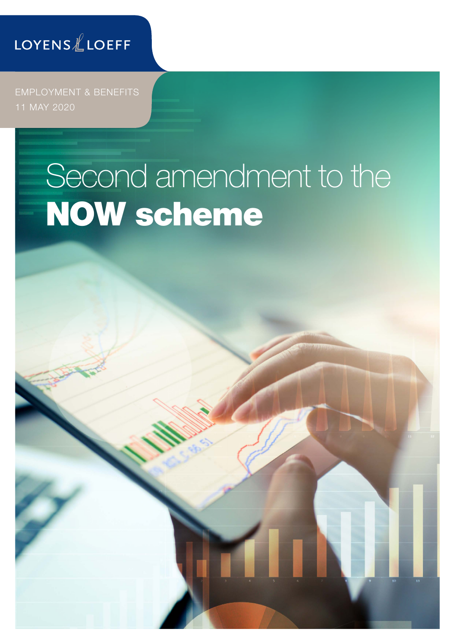### LOYENSLLOEFF

EMPLOYMENT & BENEFITS 11 MAY 2020

# Second amendment to the NOW scheme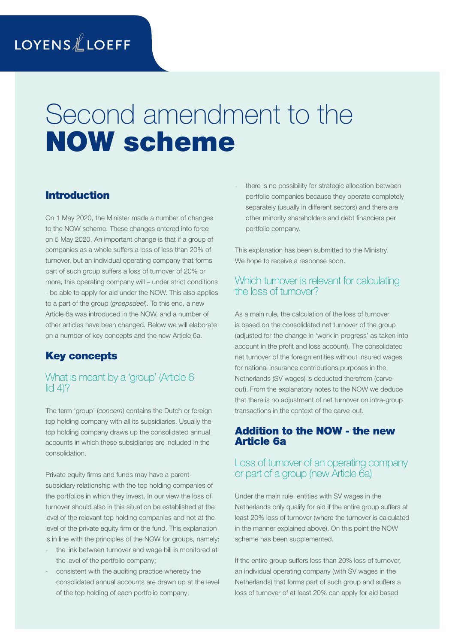## Second amendment to the NOW scheme

#### Introduction

On 1 May 2020, the Minister made a number of changes to the NOW scheme. These changes entered into force on 5 May 2020. An important change is that if a group of companies as a whole suffers a loss of less than 20% of turnover, but an individual operating company that forms part of such group suffers a loss of turnover of 20% or more, this operating company will – under strict conditions - be able to apply for aid under the NOW. This also applies to a part of the group (*groepsdeel*). To this end, a new Article 6a was introduced in the NOW, and a number of other articles have been changed. Below we will elaborate on a number of key concepts and the new Article 6a.

#### Key concepts

#### What is meant by a 'group' (Article 6 lid  $4$ ?

The term 'group' (*concern*) contains the Dutch or foreign top holding company with all its subsidiaries. Usually the top holding company draws up the consolidated annual accounts in which these subsidiaries are included in the consolidation.

Private equity firms and funds may have a parentsubsidiary relationship with the top holding companies of the portfolios in which they invest. In our view the loss of turnover should also in this situation be established at the level of the relevant top holding companies and not at the level of the private equity firm or the fund. This explanation is in line with the principles of the NOW for groups, namely:

- the link between turnover and wage bill is monitored at the level of the portfolio company;
- consistent with the auditing practice whereby the consolidated annual accounts are drawn up at the level of the top holding of each portfolio company;

there is no possibility for strategic allocation between portfolio companies because they operate completely separately (usually in different sectors) and there are other minority shareholders and debt financiers per portfolio company.

This explanation has been submitted to the Ministry. We hope to receive a response soon.

#### Which turnover is relevant for calculating the loss of turnover?

As a main rule, the calculation of the loss of turnover is based on the consolidated net turnover of the group (adjusted for the change in 'work in progress' as taken into account in the profit and loss account). The consolidated net turnover of the foreign entities without insured wages for national insurance contributions purposes in the Netherlands (SV wages) is deducted therefrom (carveout). From the explanatory notes to the NOW we deduce that there is no adjustment of net turnover on intra-group transactions in the context of the carve-out.

#### Addition to the NOW - the new Article 6a

#### Loss of turnover of an operating company or part of a group (new Article 6a)

Under the main rule, entities with SV wages in the Netherlands only qualify for aid if the entire group suffers at least 20% loss of turnover (where the turnover is calculated in the manner explained above). On this point the NOW scheme has been supplemented.

If the entire group suffers less than 20% loss of turnover, an individual operating company (with SV wages in the Netherlands) that forms part of such group and suffers a loss of turnover of at least 20% can apply for aid based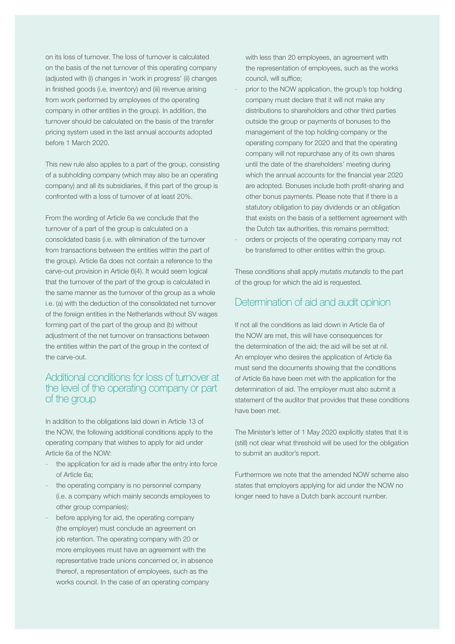on its loss of turnover. The loss of turnover is calculated on the basis of the net turnover of this operating company (adjusted with (i) changes in 'work in progress' (ii) changes in finished goods (i.e. inventory) and (iii) revenue arising from work performed by employees of the operating company in other entities in the group). In addition, the turnover should be calculated on the basis of the transfer pricing system used in the last annual accounts adopted before 1 March 2020.

This new rule also applies to a part of the group, consisting of a subholding company (which may also be an operating company) and all its subsidiaries, if this part of the group is confronted with a loss of turnover of at least 20%.

From the wording of Article 6a we conclude that the turnover of a part of the group is calculated on a consolidated basis (i.e. with elimination of the turnover from transactions between the entities within the part of the group). Article 6a does not contain a reference to the carve-out provision in Article 6(4). It would seem logical that the turnover of the part of the group is calculated in the same manner as the turnover of the group as a whole i.e. (a) with the deduction of the consolidated net turnover of the foreign entities in the Netherlands without SV wages forming part of the part of the group and (b) without adjustment of the net turnover on transactions between the entities within the part of the group in the context of the carve-out.

#### Additional conditions for loss of turnover at the level of the operating company or part of the group

In addition to the obligations laid down in Article 13 of the NOW, the following additional conditions apply to the operating company that wishes to apply for aid under Article 6a of the NOW:

- the application for aid is made after the entry into force of Article 6a;
- the operating company is no personnel company (i.e. a company which mainly seconds employees to other group companies);
- before applying for aid, the operating company (the employer) must conclude an agreement on job retention. The operating company with 20 or more employees must have an agreement with the representative trade unions concerned or, in absence thereof, a representation of employees, such as the works council. In the case of an operating company

with less than 20 employees, an agreement with the representation of employees, such as the works council, will suffice;

- prior to the NOW application, the group's top holding company must declare that it will not make any distributions to shareholders and other third parties outside the group or payments of bonuses to the management of the top holding company or the operating company for 2020 and that the operating company will not repurchase any of its own shares until the date of the shareholders' meeting during which the annual accounts for the financial year 2020 are adopted. Bonuses include both profit-sharing and other bonus payments. Please note that if there is a statutory obligation to pay dividends or an obligation that exists on the basis of a settlement agreement with the Dutch tax authorities, this remains permitted;
- orders or projects of the operating company may not be transferred to other entities within the group.

These conditions shall apply *mutatis mutandis* to the part of the group for which the aid is requested.

#### Determination of aid and audit opinion

If not all the conditions as laid down in Article 6a of the NOW are met, this will have consequences for the determination of the aid; the aid will be set at nil. An employer who desires the application of Article 6a must send the documents showing that the conditions of Article 6a have been met with the application for the determination of aid. The employer must also submit a statement of the auditor that provides that these conditions have been met.

The Minister's letter of 1 May 2020 explicitly states that it is (still) not clear what threshold will be used for the obligation to submit an auditor's report.

Furthermore we note that the amended NOW scheme also states that employers applying for aid under the NOW no longer need to have a Dutch bank account number.